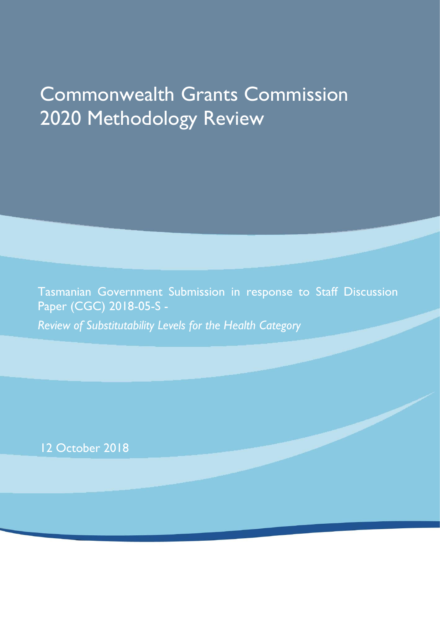# Commonwealth Grants Commission 2020 Methodology Review

Tasmanian Government Submission in response to Staff Discussion Paper (CGC) 2018-05-S - *Review of Substitutability Levels for the Health Category*

12 October 2018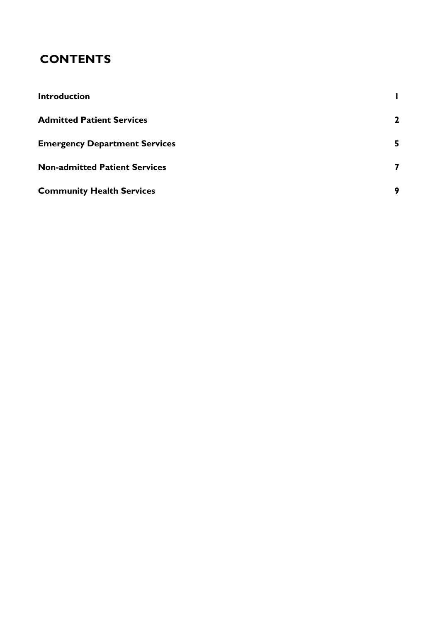# **CONTENTS**

| <b>Introduction</b>                  |                         |
|--------------------------------------|-------------------------|
| <b>Admitted Patient Services</b>     | $\overline{\mathbf{2}}$ |
| <b>Emergency Department Services</b> | 5                       |
| <b>Non-admitted Patient Services</b> | 7                       |
| <b>Community Health Services</b>     | 9                       |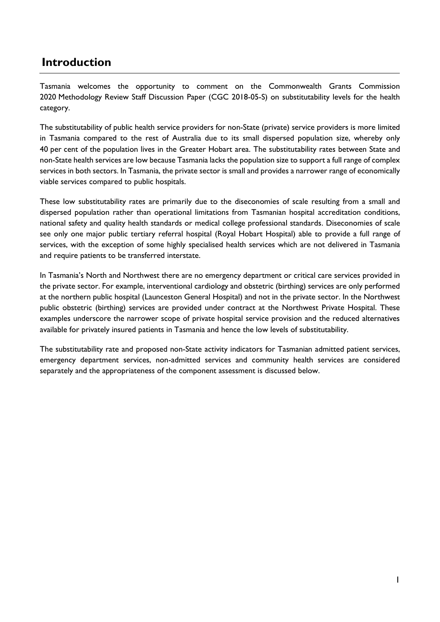### <span id="page-3-0"></span>**Introduction**

Tasmania welcomes the opportunity to comment on the Commonwealth Grants Commission 2020 Methodology Review Staff Discussion Paper (CGC 2018-05-S) on substitutability levels for the health category.

The substitutability of public health service providers for non-State (private) service providers is more limited in Tasmania compared to the rest of Australia due to its small dispersed population size, whereby only 40 per cent of the population lives in the Greater Hobart area. The substitutability rates between State and non-State health services are low because Tasmania lacks the population size to support a full range of complex services in both sectors. In Tasmania, the private sector is small and provides a narrower range of economically viable services compared to public hospitals.

These low substitutability rates are primarily due to the diseconomies of scale resulting from a small and dispersed population rather than operational limitations from Tasmanian hospital accreditation conditions, national safety and quality health standards or medical college professional standards. Diseconomies of scale see only one major public tertiary referral hospital (Royal Hobart Hospital) able to provide a full range of services, with the exception of some highly specialised health services which are not delivered in Tasmania and require patients to be transferred interstate.

In Tasmania's North and Northwest there are no emergency department or critical care services provided in the private sector. For example, interventional cardiology and obstetric (birthing) services are only performed at the northern public hospital (Launceston General Hospital) and not in the private sector. In the Northwest public obstetric (birthing) services are provided under contract at the Northwest Private Hospital. These examples underscore the narrower scope of private hospital service provision and the reduced alternatives available for privately insured patients in Tasmania and hence the low levels of substitutability.

The substitutability rate and proposed non-State activity indicators for Tasmanian admitted patient services, emergency department services, non-admitted services and community health services are considered separately and the appropriateness of the component assessment is discussed below.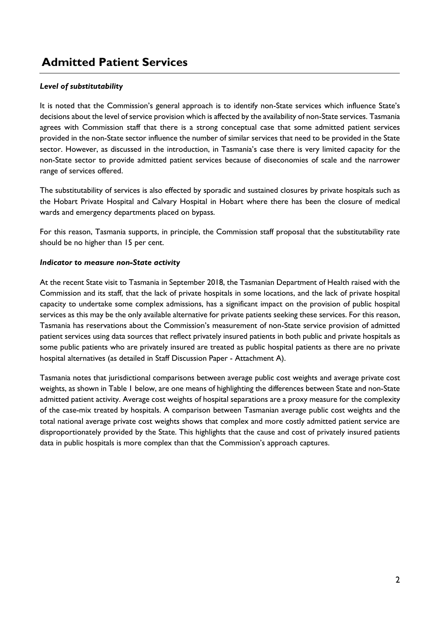### <span id="page-4-0"></span>**Admitted Patient Services**

#### *Level of substitutability*

It is noted that the Commission's general approach is to identify non-State services which influence State's decisions about the level of service provision which is affected by the availability of non-State services. Tasmania agrees with Commission staff that there is a strong conceptual case that some admitted patient services provided in the non-State sector influence the number of similar services that need to be provided in the State sector. However, as discussed in the introduction, in Tasmania's case there is very limited capacity for the non-State sector to provide admitted patient services because of diseconomies of scale and the narrower range of services offered.

The substitutability of services is also effected by sporadic and sustained closures by private hospitals such as the Hobart Private Hospital and Calvary Hospital in Hobart where there has been the closure of medical wards and emergency departments placed on bypass.

For this reason, Tasmania supports, in principle, the Commission staff proposal that the substitutability rate should be no higher than 15 per cent.

#### *Indicator to measure non-State activity*

At the recent State visit to Tasmania in September 2018, the Tasmanian Department of Health raised with the Commission and its staff, that the lack of private hospitals in some locations, and the lack of private hospital capacity to undertake some complex admissions, has a significant impact on the provision of public hospital services as this may be the only available alternative for private patients seeking these services. For this reason, Tasmania has reservations about the Commission's measurement of non-State service provision of admitted patient services using data sources that reflect privately insured patients in both public and private hospitals as some public patients who are privately insured are treated as public hospital patients as there are no private hospital alternatives (as detailed in Staff Discussion Paper - Attachment A).

Tasmania notes that jurisdictional comparisons between average public cost weights and average private cost weights, as shown in Table 1 below, are one means of highlighting the differences between State and non-State admitted patient activity. Average cost weights of hospital separations are a proxy measure for the complexity of the case-mix treated by hospitals. A comparison between Tasmanian average public cost weights and the total national average private cost weights shows that complex and more costly admitted patient service are disproportionately provided by the State. This highlights that the cause and cost of privately insured patients data in public hospitals is more complex than that the Commission's approach captures.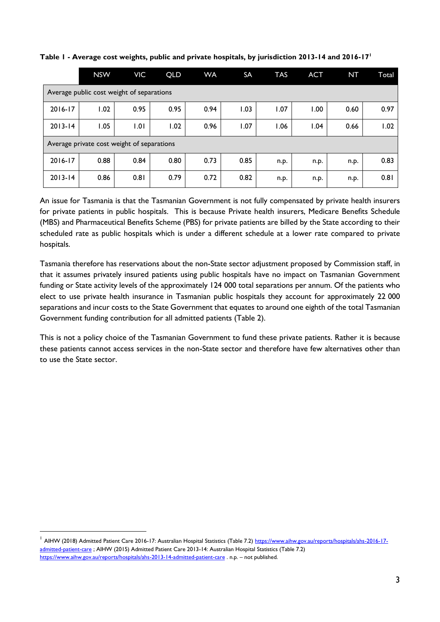**Table 1 - Average cost weights, public and private hospitals, by jurisdiction 2013-14 and 2016-17<sup>1</sup>**

|                                            | <b>NSW</b> | <b>VIC</b> | <b>QLD</b> | <b>WA</b> | <b>SA</b> | <b>TAS</b> | <b>ACT</b> | <b>NT</b> | Total |
|--------------------------------------------|------------|------------|------------|-----------|-----------|------------|------------|-----------|-------|
| Average public cost weight of separations  |            |            |            |           |           |            |            |           |       |
| 2016-17                                    | 1.02       | 0.95       | 0.95       | 0.94      | 1.03      | 1.07       | 1.00       | 0.60      | 0.97  |
| $2013 - 14$                                | 1.05       | 1.01       | 1.02       | 0.96      | 1.07      | 1.06       | 1.04       | 0.66      | 1.02  |
| Average private cost weight of separations |            |            |            |           |           |            |            |           |       |
| 2016-17                                    | 0.88       | 0.84       | 0.80       | 0.73      | 0.85      | n.p.       | n.p.       | n.p.      | 0.83  |
| $2013 - 14$                                | 0.86       | 0.81       | 0.79       | 0.72      | 0.82      | n.p.       | n.p.       | n.p.      | 0.81  |

An issue for Tasmania is that the Tasmanian Government is not fully compensated by private health insurers for private patients in public hospitals. This is because Private health insurers, Medicare Benefits Schedule (MBS) and Pharmaceutical Benefits Scheme (PBS) for private patients are billed by the State according to their scheduled rate as public hospitals which is under a different schedule at a lower rate compared to private hospitals.

Tasmania therefore has reservations about the non-State sector adjustment proposed by Commission staff, in that it assumes privately insured patients using public hospitals have no impact on Tasmanian Government funding or State activity levels of the approximately 124 000 total separations per annum. Of the patients who elect to use private health insurance in Tasmanian public hospitals they account for approximately 22 000 separations and incur costs to the State Government that equates to around one eighth of the total Tasmanian Government funding contribution for all admitted patients (Table 2).

This is not a policy choice of the Tasmanian Government to fund these private patients. Rather it is because these patients cannot access services in the non-State sector and therefore have few alternatives other than to use the State sector.

<u>.</u>

<sup>&</sup>lt;sup>1</sup> AIHW (2018) Admitted Patient Care 2016-17: Australian Hospital Statistics (Table 7.2) [https://www.aihw.gov.au/reports/hospitals/ahs-2016-17](https://www.aihw.gov.au/reports/hospitals/ahs-2016-17-admitted-patient-care) [admitted-patient-care](https://www.aihw.gov.au/reports/hospitals/ahs-2016-17-admitted-patient-care) ; AIHW (2015) Admitted Patient Care 2013-14: Australian Hospital Statistics (Table 7.2) <https://www.aihw.gov.au/reports/hospitals/ahs-2013-14-admitted-patient-care> . n.p. - not published.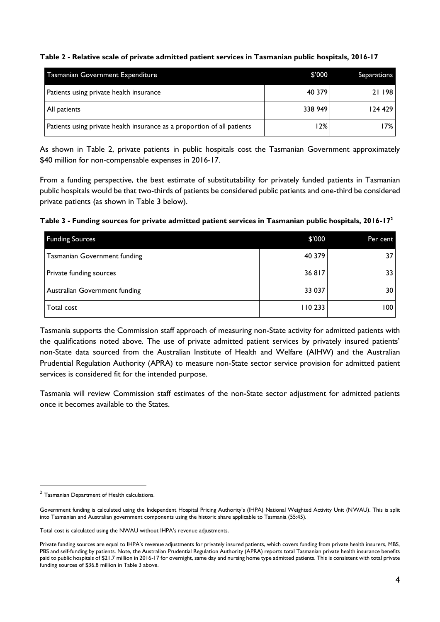**Table 2 - Relative scale of private admitted patient services in Tasmanian public hospitals, 2016-17**

| Tasmanian Government Expenditure                                        | \$'000  | Separations |
|-------------------------------------------------------------------------|---------|-------------|
| Patients using private health insurance                                 | 40 379  | 21 198      |
| All patients                                                            | 338 949 | 124 429     |
| Patients using private health insurance as a proportion of all patients | 12%     | l 7%        |

As shown in Table 2, private patients in public hospitals cost the Tasmanian Government approximately \$40 million for non-compensable expenses in 2016-17.

From a funding perspective, the best estimate of substitutability for privately funded patients in Tasmanian public hospitals would be that two-thirds of patients be considered public patients and one-third be considered private patients (as shown in Table 3 below).

**Table 3 - Funding sources for private admitted patient services in Tasmanian public hospitals, 2016-17<sup>2</sup>**

| <b>Funding Sources</b>        | \$'000 | Per cent |
|-------------------------------|--------|----------|
| Tasmanian Government funding  | 40 379 | 37       |
| Private funding sources       | 36817  | 33       |
| Australian Government funding | 33 037 | 30       |
| Total cost                    | 110233 | 100      |

Tasmania supports the Commission staff approach of measuring non-State activity for admitted patients with the qualifications noted above. The use of private admitted patient services by privately insured patients' non-State data sourced from the Australian Institute of Health and Welfare (AIHW) and the Australian Prudential Regulation Authority (APRA) to measure non-State sector service provision for admitted patient services is considered fit for the intended purpose.

Tasmania will review Commission staff estimates of the non-State sector adjustment for admitted patients once it becomes available to the States.

<u>.</u>

 $2$  Tasmanian Department of Health calculations.

Government funding is calculated using the Independent Hospital Pricing Authority's (IHPA) National Weighted Activity Unit (NWAU). This is split into Tasmanian and Australian government components using the historic share applicable to Tasmania (55:45).

Total cost is calculated using the NWAU without IHPA's revenue adjustments.

Private funding sources are equal to IHPA's revenue adjustments for privately insured patients, which covers funding from private health insurers, MBS, PBS and self-funding by patients. Note, the Australian Prudential Regulation Authority (APRA) reports total Tasmanian private health insurance benefits paid to public hospitals of \$21.7 million in 2016-17 for overnight, same day and nursing home type admitted patients. This is consistent with total private funding sources of \$36.8 million in Table 3 above.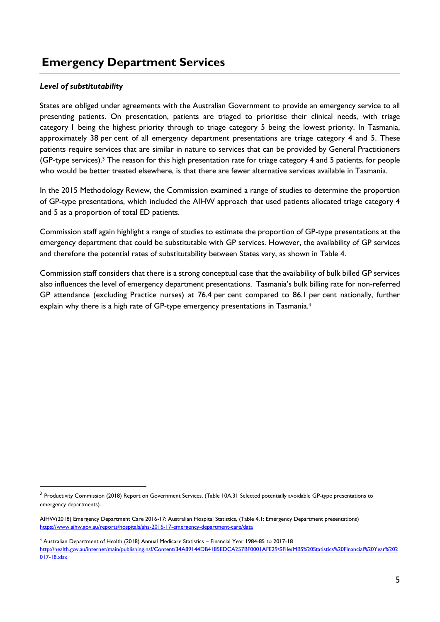### <span id="page-7-0"></span>**Emergency Department Services**

#### *Level of substitutability*

<u>.</u>

States are obliged under agreements with the Australian Government to provide an emergency service to all presenting patients. On presentation, patients are triaged to prioritise their clinical needs, with triage category 1 being the highest priority through to triage category 5 being the lowest priority. In Tasmania, approximately 38 per cent of all emergency department presentations are triage category 4 and 5. These patients require services that are similar in nature to services that can be provided by General Practitioners (GP-type services).<sup>3</sup> The reason for this high presentation rate for triage category 4 and 5 patients, for people who would be better treated elsewhere, is that there are fewer alternative services available in Tasmania.

In the 2015 Methodology Review, the Commission examined a range of studies to determine the proportion of GP-type presentations, which included the AIHW approach that used patients allocated triage category 4 and 5 as a proportion of total ED patients.

Commission staff again highlight a range of studies to estimate the proportion of GP-type presentations at the emergency department that could be substitutable with GP services. However, the availability of GP services and therefore the potential rates of substitutability between States vary, as shown in Table 4.

Commission staff considers that there is a strong conceptual case that the availability of bulk billed GP services also influences the level of emergency department presentations. Tasmania's bulk billing rate for non-referred GP attendance (excluding Practice nurses) at 76.4 per cent compared to 86.1 per cent nationally, further explain why there is a high rate of GP-type emergency presentations in Tasmania. 4

<sup>&</sup>lt;sup>3</sup> Productivity Commission (2018) Report on Government Services, (Table 10A.31 Selected potentially avoidable GP-type presentations to emergency departments).

AIHW(2018) Emergency Department Care 2016-17: Australian Hospital Statistics, (Table 4.1: Emergency Department presentations) <https://www.aihw.gov.au/reports/hospitals/ahs-2016-17-emergency-department-care/data>

<sup>4</sup> Australian Department of Health (2018) Annual Medicare Statistics – Financial Year 1984-85 to 2017-18 [http://health.gov.au/internet/main/publishing.nsf/Content/34A89144DB4185EDCA257BF0001AFE29/\\$File/MBS%20Statistics%20Financial%20Year%202](http://health.gov.au/internet/main/publishing.nsf/Content/34A89144DB4185EDCA257BF0001AFE29/$File/MBS%20Statistics%20Financial%20Year%202017-18.xlsx) [017-18.xlsx](http://health.gov.au/internet/main/publishing.nsf/Content/34A89144DB4185EDCA257BF0001AFE29/$File/MBS%20Statistics%20Financial%20Year%202017-18.xlsx)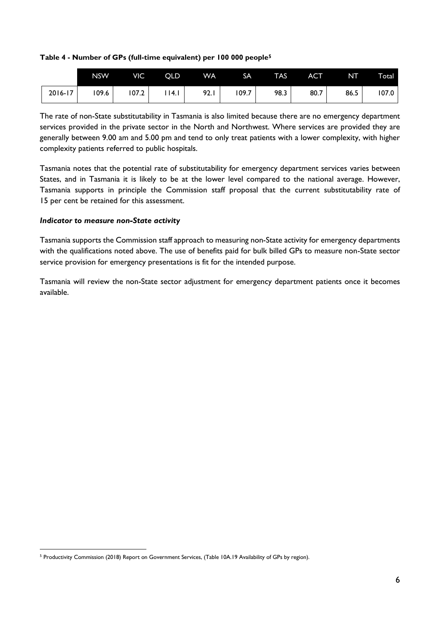#### **Table 4 - Number of GPs (full-time equivalent) per 100 000 people<sup>5</sup>**

|         | <b>NSW</b> | <b>VIC</b> | <b>OLD</b> | <b>WA</b> | <b>SA</b> | <b>TAS</b> | <b>ACT</b> | <b>NT</b> | <b>Total</b> |
|---------|------------|------------|------------|-----------|-----------|------------|------------|-----------|--------------|
| 2016-17 | 09.6       | 107.2      | 14.1       | 92.1      | 109.7     | 98.3       | 80.7       | 86.5      | 107.0        |

The rate of non-State substitutability in Tasmania is also limited because there are no emergency department services provided in the private sector in the North and Northwest. Where services are provided they are generally between 9.00 am and 5.00 pm and tend to only treat patients with a lower complexity, with higher complexity patients referred to public hospitals.

Tasmania notes that the potential rate of substitutability for emergency department services varies between States, and in Tasmania it is likely to be at the lower level compared to the national average. However, Tasmania supports in principle the Commission staff proposal that the current substitutability rate of 15 per cent be retained for this assessment.

#### *Indicator to measure non-State activity*

<u>.</u>

Tasmania supports the Commission staff approach to measuring non-State activity for emergency departments with the qualifications noted above. The use of benefits paid for bulk billed GPs to measure non-State sector service provision for emergency presentations is fit for the intended purpose.

Tasmania will review the non-State sector adjustment for emergency department patients once it becomes available.

<sup>&</sup>lt;sup>5</sup> Productivity Commission (2018) Report on Government Services, (Table 10A.19 Availability of GPs by region).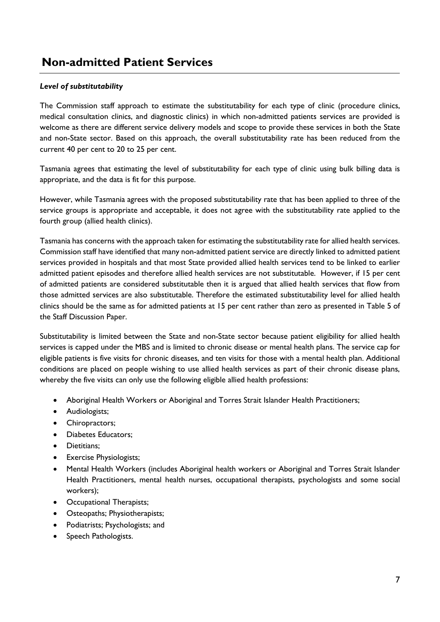### <span id="page-9-0"></span>**Non-admitted Patient Services**

#### *Level of substitutability*

The Commission staff approach to estimate the substitutability for each type of clinic (procedure clinics, medical consultation clinics, and diagnostic clinics) in which non-admitted patients services are provided is welcome as there are different service delivery models and scope to provide these services in both the State and non-State sector. Based on this approach, the overall substitutability rate has been reduced from the current 40 per cent to 20 to 25 per cent.

Tasmania agrees that estimating the level of substitutability for each type of clinic using bulk billing data is appropriate, and the data is fit for this purpose.

However, while Tasmania agrees with the proposed substitutability rate that has been applied to three of the service groups is appropriate and acceptable, it does not agree with the substitutability rate applied to the fourth group (allied health clinics).

Tasmania has concerns with the approach taken for estimating the substitutability rate for allied health services. Commission staff have identified that many non-admitted patient service are directly linked to admitted patient services provided in hospitals and that most State provided allied health services tend to be linked to earlier admitted patient episodes and therefore allied health services are not substitutable. However, if 15 per cent of admitted patients are considered substitutable then it is argued that allied health services that flow from those admitted services are also substitutable. Therefore the estimated substitutability level for allied health clinics should be the same as for admitted patients at 15 per cent rather than zero as presented in Table 5 of the Staff Discussion Paper.

Substitutability is limited between the State and non-State sector because patient eligibility for allied health services is capped under the MBS and is limited to chronic disease or mental health plans. The service cap for eligible patients is five visits for chronic diseases, and ten visits for those with a mental health plan. Additional conditions are placed on people wishing to use allied health services as part of their chronic disease plans, whereby the five visits can only use the following eligible allied health professions:

- Aboriginal Health Workers or Aboriginal and Torres Strait Islander Health Practitioners;
- Audiologists;
- Chiropractors;
- Diabetes Educators;
- Dietitians:
- **•** Exercise Physiologists;
- Mental Health Workers (includes Aboriginal health workers or Aboriginal and Torres Strait Islander Health Practitioners, mental health nurses, occupational therapists, psychologists and some social workers);
- Occupational Therapists;
- Osteopaths; Physiotherapists;
- Podiatrists; Psychologists; and
- Speech Pathologists.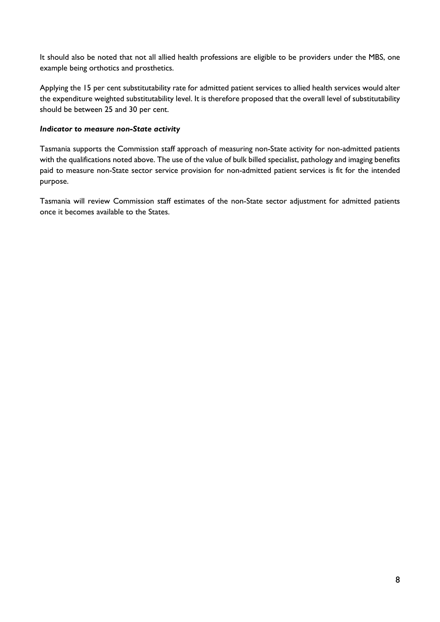It should also be noted that not all allied health professions are eligible to be providers under the MBS, one example being orthotics and prosthetics.

Applying the 15 per cent substitutability rate for admitted patient services to allied health services would alter the expenditure weighted substitutability level. It is therefore proposed that the overall level of substitutability should be between 25 and 30 per cent.

#### *Indicator to measure non-State activity*

Tasmania supports the Commission staff approach of measuring non-State activity for non-admitted patients with the qualifications noted above. The use of the value of bulk billed specialist, pathology and imaging benefits paid to measure non-State sector service provision for non-admitted patient services is fit for the intended purpose.

Tasmania will review Commission staff estimates of the non-State sector adjustment for admitted patients once it becomes available to the States.